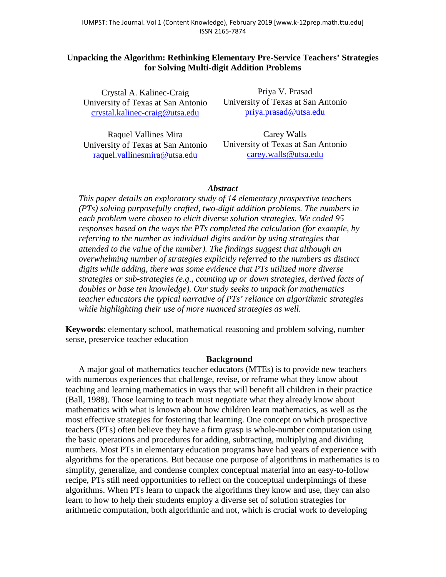# **Unpacking the Algorithm: Rethinking Elementary Pre-Service Teachers' Strategies for Solving Multi-digit Addition Problems**

Crystal A. Kalinec-Craig University of Texas at San Antonio [crystal.kalinec-craig@utsa.edu](mailto:crystal.kalinec-craig@utsa.edu)

Raquel Vallines Mira University of Texas at San Antonio [raquel.vallinesmira@utsa.edu](mailto:raquel.vallinesmira@utsa.edu)

Priya V. Prasad University of Texas at San Antonio [priya.prasad@utsa.edu](mailto:priya.prasad@utsa.edu)

Carey Walls University of Texas at San Antonio [carey.walls@utsa.edu](mailto:carey.walls@utsa.edu)

## *Abstract*

*This paper details an exploratory study of 14 elementary prospective teachers (PTs) solving purposefully crafted, two-digit addition problems. The numbers in each problem were chosen to elicit diverse solution strategies. We coded 95 responses based on the ways the PTs completed the calculation (for example, by referring to the number as individual digits and/or by using strategies that attended to the value of the number). The findings suggest that although an overwhelming number of strategies explicitly referred to the numbers as distinct digits while adding, there was some evidence that PTs utilized more diverse strategies or sub-strategies (e.g., counting up or down strategies, derived facts of doubles or base ten knowledge). Our study seeks to unpack for mathematics teacher educators the typical narrative of PTs' reliance on algorithmic strategies while highlighting their use of more nuanced strategies as well.* 

**Keywords**: elementary school, mathematical reasoning and problem solving, number sense, preservice teacher education

### **Background**

A major goal of mathematics teacher educators (MTEs) is to provide new teachers with numerous experiences that challenge, revise, or reframe what they know about teaching and learning mathematics in ways that will benefit all children in their practice (Ball, 1988). Those learning to teach must negotiate what they already know about mathematics with what is known about how children learn mathematics, as well as the most effective strategies for fostering that learning. One concept on which prospective teachers (PTs) often believe they have a firm grasp is whole-number computation using the basic operations and procedures for adding, subtracting, multiplying and dividing numbers. Most PTs in elementary education programs have had years of experience with algorithms for the operations. But because one purpose of algorithms in mathematics is to simplify, generalize, and condense complex conceptual material into an easy-to-follow recipe, PTs still need opportunities to reflect on the conceptual underpinnings of these algorithms. When PTs learn to unpack the algorithms they know and use, they can also learn to how to help their students employ a diverse set of solution strategies for arithmetic computation, both algorithmic and not, which is crucial work to developing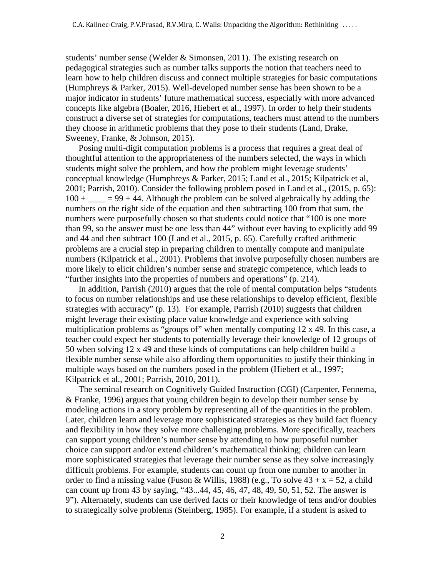students' number sense (Welder & Simonsen, 2011). The existing research on pedagogical strategies such as number talks supports the notion that teachers need to learn how to help children discuss and connect multiple strategies for basic computations (Humphreys & Parker, 2015). Well-developed number sense has been shown to be a major indicator in students' future mathematical success, especially with more advanced concepts like algebra (Boaler, 2016, Hiebert et al., 1997). In order to help their students construct a diverse set of strategies for computations, teachers must attend to the numbers they choose in arithmetic problems that they pose to their students (Land, Drake, Sweeney, Franke, & Johnson, 2015).

Posing multi-digit computation problems is a process that requires a great deal of thoughtful attention to the appropriateness of the numbers selected, the ways in which students might solve the problem, and how the problem might leverage students' conceptual knowledge (Humphreys & Parker, 2015; Land et al., 2015; Kilpatrick et al, 2001; Parrish, 2010). Consider the following problem posed in Land et al., (2015, p. 65):  $100 + \_\_\_\_\_ = 99 + 44$ . Although the problem can be solved algebraically by adding the numbers on the right side of the equation and then subtracting 100 from that sum, the numbers were purposefully chosen so that students could notice that "100 is one more than 99, so the answer must be one less than 44" without ever having to explicitly add 99 and 44 and then subtract 100 (Land et al., 2015, p. 65). Carefully crafted arithmetic problems are a crucial step in preparing children to mentally compute and manipulate numbers (Kilpatrick et al., 2001). Problems that involve purposefully chosen numbers are more likely to elicit children's number sense and strategic competence, which leads to "further insights into the properties of numbers and operations" (p. 214).

In addition, Parrish (2010) argues that the role of mental computation helps "students to focus on number relationships and use these relationships to develop efficient, flexible strategies with accuracy" (p. 13). For example, Parrish (2010) suggests that children might leverage their existing place value knowledge and experience with solving multiplication problems as "groups of" when mentally computing 12 x 49. In this case, a teacher could expect her students to potentially leverage their knowledge of 12 groups of 50 when solving 12 x 49 and these kinds of computations can help children build a flexible number sense while also affording them opportunities to justify their thinking in multiple ways based on the numbers posed in the problem (Hiebert et al., 1997; Kilpatrick et al., 2001; Parrish, 2010, 2011).

The seminal research on Cognitively Guided Instruction (CGI) (Carpenter, Fennema, & Franke, 1996) argues that young children begin to develop their number sense by modeling actions in a story problem by representing all of the quantities in the problem. Later, children learn and leverage more sophisticated strategies as they build fact fluency and flexibility in how they solve more challenging problems. More specifically, teachers can support young children's number sense by attending to how purposeful number choice can support and/or extend children's mathematical thinking; children can learn more sophisticated strategies that leverage their number sense as they solve increasingly difficult problems. For example, students can count up from one number to another in order to find a missing value (Fuson & Willis, 1988) (e.g., To solve  $43 + x = 52$ , a child can count up from 43 by saying, "43...44, 45, 46, 47, 48, 49, 50, 51, 52. The answer is 9"). Alternately, students can use derived facts or their knowledge of tens and/or doubles to strategically solve problems (Steinberg, 1985). For example, if a student is asked to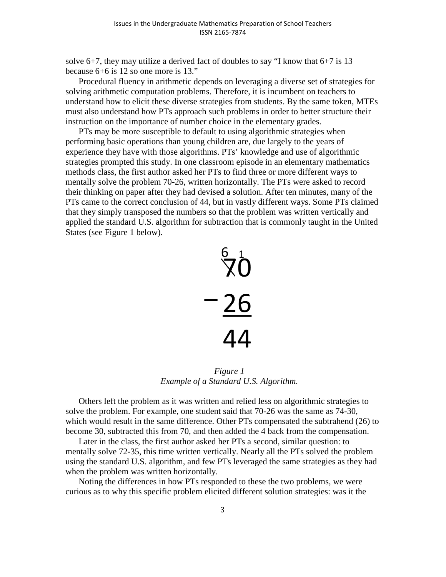solve 6+7, they may utilize a derived fact of doubles to say "I know that 6+7 is 13 because 6+6 is 12 so one more is 13."

Procedural fluency in arithmetic depends on leveraging a diverse set of strategies for solving arithmetic computation problems. Therefore, it is incumbent on teachers to understand how to elicit these diverse strategies from students. By the same token, MTEs must also understand how PTs approach such problems in order to better structure their instruction on the importance of number choice in the elementary grades.

PTs may be more susceptible to default to using algorithmic strategies when performing basic operations than young children are, due largely to the years of experience they have with those algorithms. PTs' knowledge and use of algorithmic strategies prompted this study. In one classroom episode in an elementary mathematics methods class, the first author asked her PTs to find three or more different ways to mentally solve the problem 70-26, written horizontally. The PTs were asked to record their thinking on paper after they had devised a solution. After ten minutes, many of the PTs came to the correct conclusion of 44, but in vastly different ways. Some PTs claimed that they simply transposed the numbers so that the problem was written vertically and applied the standard U.S. algorithm for subtraction that is commonly taught in the United States (see Figure 1 below).



*Figure 1 Example of a Standard U.S. Algorithm.* 

Others left the problem as it was written and relied less on algorithmic strategies to solve the problem. For example, one student said that 70-26 was the same as 74-30, which would result in the same difference. Other PTs compensated the subtrahend (26) to become 30, subtracted this from 70, and then added the 4 back from the compensation.

Later in the class, the first author asked her PTs a second, similar question: to mentally solve 72-35, this time written vertically. Nearly all the PTs solved the problem using the standard U.S. algorithm, and few PTs leveraged the same strategies as they had when the problem was written horizontally.

Noting the differences in how PTs responded to these the two problems, we were curious as to why this specific problem elicited different solution strategies: was it the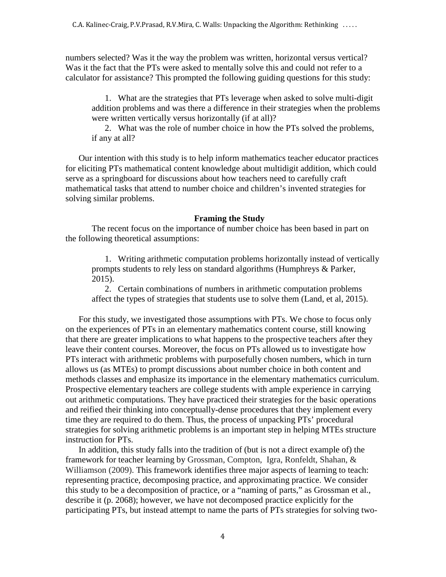numbers selected? Was it the way the problem was written, horizontal versus vertical? Was it the fact that the PTs were asked to mentally solve this and could not refer to a calculator for assistance? This prompted the following guiding questions for this study:

1. What are the strategies that PTs leverage when asked to solve multi-digit addition problems and was there a difference in their strategies when the problems were written vertically versus horizontally (if at all)?

2. What was the role of number choice in how the PTs solved the problems, if any at all?

Our intention with this study is to help inform mathematics teacher educator practices for eliciting PTs mathematical content knowledge about multidigit addition, which could serve as a springboard for discussions about how teachers need to carefully craft mathematical tasks that attend to number choice and children's invented strategies for solving similar problems.

## **Framing the Study**

The recent focus on the importance of number choice has been based in part on the following theoretical assumptions:

1. Writing arithmetic computation problems horizontally instead of vertically prompts students to rely less on standard algorithms (Humphreys & Parker, 2015).

2. Certain combinations of numbers in arithmetic computation problems affect the types of strategies that students use to solve them (Land, et al, 2015).

For this study, we investigated those assumptions with PTs. We chose to focus only on the experiences of PTs in an elementary mathematics content course, still knowing that there are greater implications to what happens to the prospective teachers after they leave their content courses. Moreover, the focus on PTs allowed us to investigate how PTs interact with arithmetic problems with purposefully chosen numbers, which in turn allows us (as MTEs) to prompt discussions about number choice in both content and methods classes and emphasize its importance in the elementary mathematics curriculum. Prospective elementary teachers are college students with ample experience in carrying out arithmetic computations. They have practiced their strategies for the basic operations and reified their thinking into conceptually-dense procedures that they implement every time they are required to do them. Thus, the process of unpacking PTs' procedural strategies for solving arithmetic problems is an important step in helping MTEs structure instruction for PTs.

In addition, this study falls into the tradition of (but is not a direct example of) the framework for teacher learning by Grossman, Compton, Igra, Ronfeldt, Shahan, & Williamson (2009). This framework identifies three major aspects of learning to teach: representing practice, decomposing practice, and approximating practice. We consider this study to be a decomposition of practice, or a "naming of parts," as Grossman et al., describe it (p. 2068); however, we have not decomposed practice explicitly for the participating PTs, but instead attempt to name the parts of PTs strategies for solving two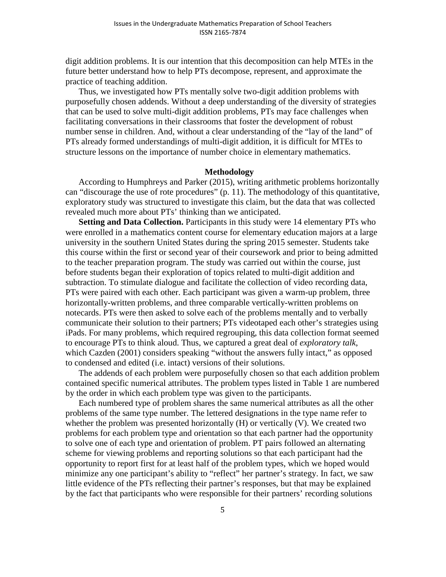digit addition problems. It is our intention that this decomposition can help MTEs in the future better understand how to help PTs decompose, represent, and approximate the practice of teaching addition.

Thus, we investigated how PTs mentally solve two-digit addition problems with purposefully chosen addends. Without a deep understanding of the diversity of strategies that can be used to solve multi-digit addition problems, PTs may face challenges when facilitating conversations in their classrooms that foster the development of robust number sense in children. And, without a clear understanding of the "lay of the land" of PTs already formed understandings of multi-digit addition, it is difficult for MTEs to structure lessons on the importance of number choice in elementary mathematics.

#### **Methodology**

According to Humphreys and Parker (2015), writing arithmetic problems horizontally can "discourage the use of rote procedures" (p. 11). The methodology of this quantitative, exploratory study was structured to investigate this claim, but the data that was collected revealed much more about PTs' thinking than we anticipated.

**Setting and Data Collection.** Participants in this study were 14 elementary PTs who were enrolled in a mathematics content course for elementary education majors at a large university in the southern United States during the spring 2015 semester. Students take this course within the first or second year of their coursework and prior to being admitted to the teacher preparation program. The study was carried out within the course, just before students began their exploration of topics related to multi-digit addition and subtraction. To stimulate dialogue and facilitate the collection of video recording data, PTs were paired with each other. Each participant was given a warm-up problem, three horizontally-written problems, and three comparable vertically-written problems on notecards. PTs were then asked to solve each of the problems mentally and to verbally communicate their solution to their partners; PTs videotaped each other's strategies using iPads. For many problems, which required regrouping, this data collection format seemed to encourage PTs to think aloud. Thus, we captured a great deal of *exploratory talk*, which Cazden (2001) considers speaking "without the answers fully intact," as opposed to condensed and edited (i.e. intact) versions of their solutions.

The addends of each problem were purposefully chosen so that each addition problem contained specific numerical attributes. The problem types listed in Table 1 are numbered by the order in which each problem type was given to the participants.

Each numbered type of problem shares the same numerical attributes as all the other problems of the same type number. The lettered designations in the type name refer to whether the problem was presented horizontally (H) or vertically (V). We created two problems for each problem type and orientation so that each partner had the opportunity to solve one of each type and orientation of problem. PT pairs followed an alternating scheme for viewing problems and reporting solutions so that each participant had the opportunity to report first for at least half of the problem types, which we hoped would minimize any one participant's ability to "reflect" her partner's strategy. In fact, we saw little evidence of the PTs reflecting their partner's responses, but that may be explained by the fact that participants who were responsible for their partners' recording solutions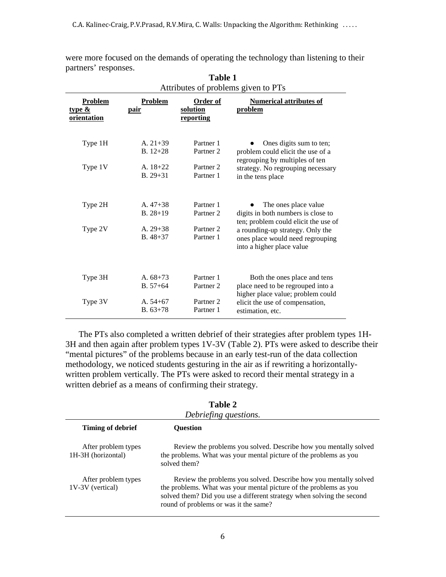|                                            | 1 avie 1<br>Attributes of problems given to PTs |                                          |                                                                                                        |
|--------------------------------------------|-------------------------------------------------|------------------------------------------|--------------------------------------------------------------------------------------------------------|
| <b>Problem</b><br>type $\&$<br>orientation | <b>Problem</b><br><u>pair</u>                   | <b>Order of</b><br>solution<br>reporting | <b>Numerical attributes of</b><br>problem                                                              |
| Type 1H                                    | A. $21+39$<br>$B.12+28$                         | Partner 1<br>Partner <sub>2</sub>        | Ones digits sum to ten;<br>problem could elicit the use of a<br>regrouping by multiples of ten         |
| Type 1V                                    | A. $18+22$<br>$B. 29 + 31$                      | Partner <sub>2</sub><br>Partner 1        | strategy. No regrouping necessary<br>in the tens place                                                 |
| Type 2H                                    | A. $47+38$<br>$B. 28 + 19$                      | Partner 1<br>Partner <sub>2</sub>        | The ones place value<br>digits in both numbers is close to<br>ten; problem could elicit the use of     |
| Type 2V                                    | A. $29+38$<br>$B.48+37$                         | Partner <sub>2</sub><br>Partner 1        | a rounding-up strategy. Only the<br>ones place would need regrouping<br>into a higher place value      |
| Type 3H                                    | A. $68+73$<br>$B. 57 + 64$                      | Partner 1<br>Partner <sub>2</sub>        | Both the ones place and tens<br>place need to be regrouped into a<br>higher place value; problem could |
| Type 3V                                    | A. $54+67$<br>$B.63+78$                         | Partner <sub>2</sub><br>Partner 1        | elicit the use of compensation,<br>estimation, etc.                                                    |

were more focused on the demands of operating the technology than listening to their partners' responses. **Table 1**

The PTs also completed a written debrief of their strategies after problem types 1H-3H and then again after problem types 1V-3V (Table 2). PTs were asked to describe their "mental pictures" of the problems because in an early test-run of the data collection methodology, we noticed students gesturing in the air as if rewriting a horizontallywritten problem vertically. The PTs were asked to record their mental strategy in a written debrief as a means of confirming their strategy.

| Tame 4<br>Debriefing questions.           |                                                                                                                                                                                                                                                         |  |
|-------------------------------------------|---------------------------------------------------------------------------------------------------------------------------------------------------------------------------------------------------------------------------------------------------------|--|
| Timing of debrief                         | Ouestion                                                                                                                                                                                                                                                |  |
| After problem types<br>1H-3H (horizontal) | Review the problems you solved. Describe how you mentally solved<br>the problems. What was your mental picture of the problems as you<br>solved them?                                                                                                   |  |
| After problem types<br>1V-3V (vertical)   | Review the problems you solved. Describe how you mentally solved<br>the problems. What was your mental picture of the problems as you<br>solved them? Did you use a different strategy when solving the second<br>round of problems or was it the same? |  |

| anı<br>re<br>ω |  |
|----------------|--|
|----------------|--|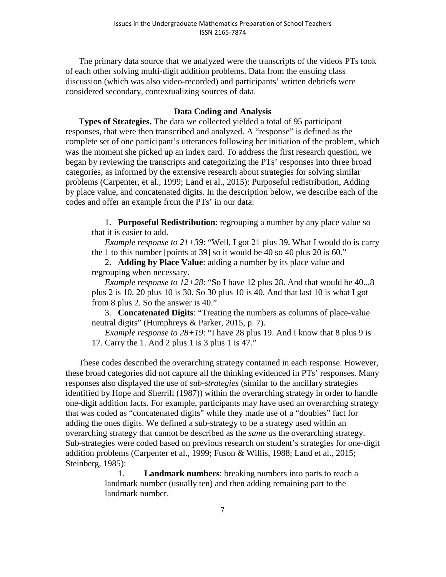The primary data source that we analyzed were the transcripts of the videos PTs took of each other solving multi-digit addition problems. Data from the ensuing class discussion (which was also video-recorded) and participants' written debriefs were considered secondary, contextualizing sources of data.

## **Data Coding and Analysis**

**Types of Strategies.** The data we collected yielded a total of 95 participant responses, that were then transcribed and analyzed. A "response" is defined as the complete set of one participant's utterances following her initiation of the problem, which was the moment she picked up an index card. To address the first research question, we began by reviewing the transcripts and categorizing the PTs' responses into three broad categories, as informed by the extensive research about strategies for solving similar problems (Carpenter, et al., 1999; Land et al., 2015): Purposeful redistribution, Adding by place value, and concatenated digits. In the description below, we describe each of the codes and offer an example from the PTs' in our data:

1. **Purposeful Redistribution**: regrouping a number by any place value so that it is easier to add.

*Example response to 21+39*: "Well, I got 21 plus 39. What I would do is carry the 1 to this number [points at 39] so it would be 40 so 40 plus 20 is 60."

2. **Adding by Place Value**: adding a number by its place value and regrouping when necessary.

*Example response to 12+28*: "So I have 12 plus 28. And that would be 40...8 plus 2 is 10. 20 plus 10 is 30. So 30 plus 10 is 40. And that last 10 is what I got from 8 plus 2. So the answer is 40."

3. **Concatenated Digits**: "Treating the numbers as columns of place-value neutral digits" (Humphreys & Parker, 2015, p. 7).

*Example response to*  $28+19$ : "I have 28 plus 19. And I know that 8 plus 9 is 17. Carry the 1. And 2 plus 1 is 3 plus 1 is 47."

These codes described the overarching strategy contained in each response. However, these broad categories did not capture all the thinking evidenced in PTs' responses. Many responses also displayed the use of *sub-strategies* (similar to the ancillary strategies identified by Hope and Sherrill (1987)) within the overarching strategy in order to handle one-digit addition facts. For example, participants may have used an overarching strategy that was coded as "concatenated digits" while they made use of a "doubles" fact for adding the ones digits. We defined a sub-strategy to be a strategy used within an overarching strategy that cannot be described as the *same as* the overarching strategy. Sub-strategies were coded based on previous research on student's strategies for one-digit addition problems (Carpenter et al., 1999; Fuson & Willis, 1988; Land et al., 2015; Steinberg, 1985):

> 1. **Landmark numbers**: breaking numbers into parts to reach a landmark number (usually ten) and then adding remaining part to the landmark number.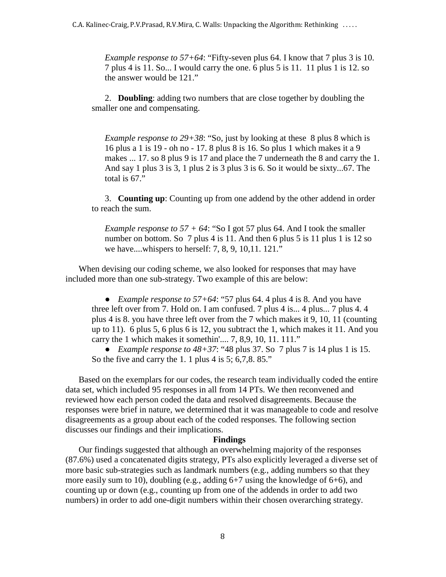*Example response to 57+64*: "Fifty-seven plus 64. I know that 7 plus 3 is 10. 7 plus 4 is 11. So... I would carry the one. 6 plus 5 is 11. 11 plus 1 is 12. so the answer would be 121."

2. **Doubling**: adding two numbers that are close together by doubling the smaller one and compensating.

*Example response to 29+38*: "So, just by looking at these 8 plus 8 which is 16 plus a 1 is 19 - oh no - 17. 8 plus 8 is 16. So plus 1 which makes it a 9 makes ... 17. so 8 plus 9 is 17 and place the 7 underneath the 8 and carry the 1. And say 1 plus 3 is 3, 1 plus 2 is 3 plus 3 is 6. So it would be sixty...67. The total is 67."

3. **Counting up**: Counting up from one addend by the other addend in order to reach the sum.

*Example response to 57 + 64*: "So I got 57 plus 64. And I took the smaller number on bottom. So 7 plus 4 is 11. And then 6 plus 5 is 11 plus 1 is 12 so we have....whispers to herself: 7, 8, 9, 10,11. 121."

When devising our coding scheme, we also looked for responses that may have included more than one sub-strategy. Two example of this are below:

● *Example response to 57+64*: "57 plus 64. 4 plus 4 is 8. And you have three left over from 7. Hold on. I am confused. 7 plus 4 is... 4 plus... 7 plus 4. 4 plus 4 is 8. you have three left over from the 7 which makes it 9, 10, 11 (counting up to 11). 6 plus 5, 6 plus 6 is 12, you subtract the 1, which makes it 11. And you carry the 1 which makes it somethin'.... 7, 8,9, 10, 11. 111."

• *Example response to 48+37*: "48 plus 37. So  $\overline{7}$  plus  $\overline{7}$  is 14 plus 1 is 15. So the five and carry the 1. 1 plus 4 is 5; 6,7,8.85."

Based on the exemplars for our codes, the research team individually coded the entire data set, which included 95 responses in all from 14 PTs. We then reconvened and reviewed how each person coded the data and resolved disagreements. Because the responses were brief in nature, we determined that it was manageable to code and resolve disagreements as a group about each of the coded responses. The following section discusses our findings and their implications.

### **Findings**

Our findings suggested that although an overwhelming majority of the responses (87.6%) used a concatenated digits strategy, PTs also explicitly leveraged a diverse set of more basic sub-strategies such as landmark numbers (e.g., adding numbers so that they more easily sum to 10), doubling (e.g., adding 6+7 using the knowledge of 6+6), and counting up or down (e.g., counting up from one of the addends in order to add two numbers) in order to add one-digit numbers within their chosen overarching strategy.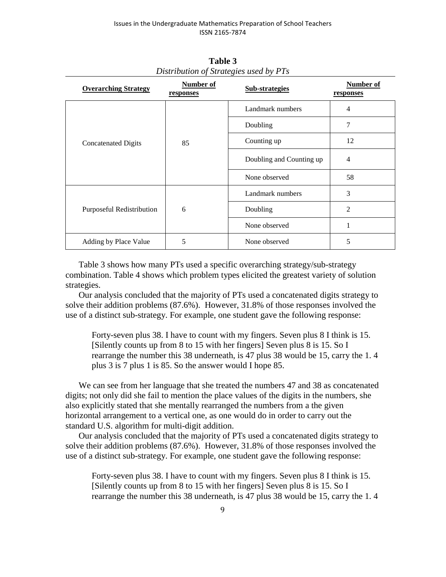| Number of<br><b>Overarching Strategy</b><br>responses |    | <b>Sub-strategies</b>    | Number of<br>responses |
|-------------------------------------------------------|----|--------------------------|------------------------|
|                                                       | 85 | Landmark numbers         | $\overline{4}$         |
|                                                       |    | Doubling                 | 7                      |
| <b>Concatenated Digits</b>                            |    | Counting up              | 12                     |
|                                                       |    | Doubling and Counting up | 4                      |
|                                                       |    | None observed            | 58                     |
|                                                       |    | Landmark numbers         | 3                      |
| Purposeful Redistribution                             | 6  | Doubling                 | 2                      |
|                                                       |    | None observed            | 1                      |
| Adding by Place Value                                 | 5  | None observed<br>5       |                        |

**Table 3**  *Distribution of Strategies used by PTs* 

Table 3 shows how many PTs used a specific overarching strategy/sub-strategy combination. Table 4 shows which problem types elicited the greatest variety of solution strategies.

Our analysis concluded that the majority of PTs used a concatenated digits strategy to solve their addition problems (87.6%). However, 31.8% of those responses involved the use of a distinct sub-strategy. For example, one student gave the following response:

Forty-seven plus 38. I have to count with my fingers. Seven plus 8 I think is 15. [Silently counts up from 8 to 15 with her fingers] Seven plus 8 is 15. So I rearrange the number this 38 underneath, is 47 plus 38 would be 15, carry the 1. 4 plus 3 is 7 plus 1 is 85. So the answer would I hope 85.

We can see from her language that she treated the numbers 47 and 38 as concatenated digits; not only did she fail to mention the place values of the digits in the numbers, she also explicitly stated that she mentally rearranged the numbers from a the given horizontal arrangement to a vertical one, as one would do in order to carry out the standard U.S. algorithm for multi-digit addition.

Our analysis concluded that the majority of PTs used a concatenated digits strategy to solve their addition problems (87.6%). However, 31.8% of those responses involved the use of a distinct sub-strategy. For example, one student gave the following response:

Forty-seven plus 38. I have to count with my fingers. Seven plus 8 I think is 15. [Silently counts up from 8 to 15 with her fingers] Seven plus 8 is 15. So I rearrange the number this 38 underneath, is 47 plus 38 would be 15, carry the 1. 4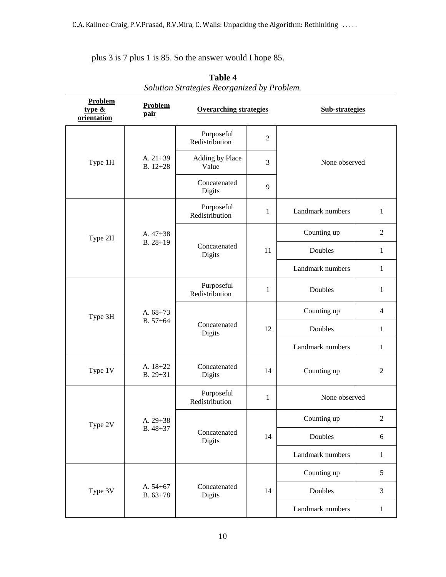plus 3 is 7 plus 1 is 85. So the answer would I hope 85.

| Problem<br>type $\&$<br>orientation | Problem<br>pair            | <b>Overarching strategies</b> |                | <b>Sub-strategies</b> |                |
|-------------------------------------|----------------------------|-------------------------------|----------------|-----------------------|----------------|
|                                     |                            | Purposeful<br>Redistribution  | $\mathfrak{2}$ |                       |                |
| Type 1H                             | A. $21+39$<br>$B. 12 + 28$ | Adding by Place<br>Value      | 3              | None observed         |                |
|                                     |                            | Concatenated<br>Digits        | 9              |                       |                |
|                                     |                            | Purposeful<br>Redistribution  | 1              | Landmark numbers      | 1              |
| Type 2H                             | A. $47+38$                 | Concatenated<br>Digits        | 11             | Counting up           | $\overline{2}$ |
|                                     | $B. 28 + 19$               |                               |                | Doubles               | 1              |
|                                     |                            |                               |                | Landmark numbers      | $\mathbf{1}$   |
|                                     | A. $68+73$<br>$B. 57 + 64$ | Purposeful<br>Redistribution  | 1              | Doubles               | 1              |
| Type 3H                             |                            | Concatenated<br>Digits        | 12             | Counting up           | $\overline{4}$ |
|                                     |                            |                               |                | Doubles               | $\mathbf{1}$   |
|                                     |                            |                               |                | Landmark numbers      | $\mathbf{1}$   |
| Type 1V                             | A. 18+22<br>$B. 29 + 31$   | Concatenated<br>Digits        | 14             | Counting up           | $\mathbf{2}$   |
|                                     |                            | Purposeful<br>Redistribution  | $\mathbf{1}$   | None observed         |                |
| Type 2V                             | A. 29+38<br>$B.48 + 37$    | Concatenated<br>Digits        | 14             | Counting up           | $\mathfrak{2}$ |
|                                     |                            |                               |                | Doubles               | 6              |
|                                     |                            |                               |                | Landmark numbers      | $\mathbf{1}$   |
|                                     |                            |                               |                | Counting up           | 5              |
| Type 3V                             | A. $54+67$<br>$B. 63 + 78$ | Concatenated<br>Digits        | 14             | Doubles               | $\mathfrak{Z}$ |
|                                     |                            |                               |                | Landmark numbers      | $\mathbf{1}$   |

| <b>Table 4</b>                              |
|---------------------------------------------|
| Solution Strategies Reorganized by Problem. |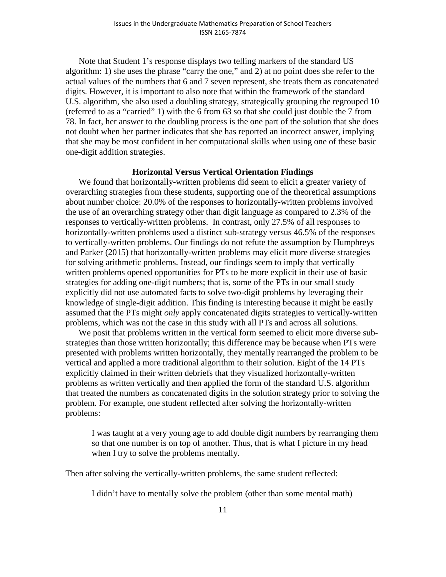Note that Student 1's response displays two telling markers of the standard US algorithm: 1) she uses the phrase "carry the one," and 2) at no point does she refer to the actual values of the numbers that 6 and 7 seven represent, she treats them as concatenated digits. However, it is important to also note that within the framework of the standard U.S. algorithm, she also used a doubling strategy, strategically grouping the regrouped 10 (referred to as a "carried" 1) with the 6 from 63 so that she could just double the 7 from 78. In fact, her answer to the doubling process is the one part of the solution that she does not doubt when her partner indicates that she has reported an incorrect answer, implying that she may be most confident in her computational skills when using one of these basic one-digit addition strategies.

## **Horizontal Versus Vertical Orientation Findings**

We found that horizontally-written problems did seem to elicit a greater variety of overarching strategies from these students, supporting one of the theoretical assumptions about number choice: 20.0% of the responses to horizontally-written problems involved the use of an overarching strategy other than digit language as compared to 2.3% of the responses to vertically-written problems. In contrast, only 27.5% of all responses to horizontally-written problems used a distinct sub-strategy versus 46.5% of the responses to vertically-written problems. Our findings do not refute the assumption by Humphreys and Parker (2015) that horizontally-written problems may elicit more diverse strategies for solving arithmetic problems. Instead, our findings seem to imply that vertically written problems opened opportunities for PTs to be more explicit in their use of basic strategies for adding one-digit numbers; that is, some of the PTs in our small study explicitly did not use automated facts to solve two-digit problems by leveraging their knowledge of single-digit addition. This finding is interesting because it might be easily assumed that the PTs might *only* apply concatenated digits strategies to vertically-written problems, which was not the case in this study with all PTs and across all solutions.

We posit that problems written in the vertical form seemed to elicit more diverse substrategies than those written horizontally; this difference may be because when PTs were presented with problems written horizontally, they mentally rearranged the problem to be vertical and applied a more traditional algorithm to their solution. Eight of the 14 PTs explicitly claimed in their written debriefs that they visualized horizontally-written problems as written vertically and then applied the form of the standard U.S. algorithm that treated the numbers as concatenated digits in the solution strategy prior to solving the problem. For example, one student reflected after solving the horizontally-written problems:

I was taught at a very young age to add double digit numbers by rearranging them so that one number is on top of another. Thus, that is what I picture in my head when I try to solve the problems mentally.

Then after solving the vertically-written problems, the same student reflected:

I didn't have to mentally solve the problem (other than some mental math)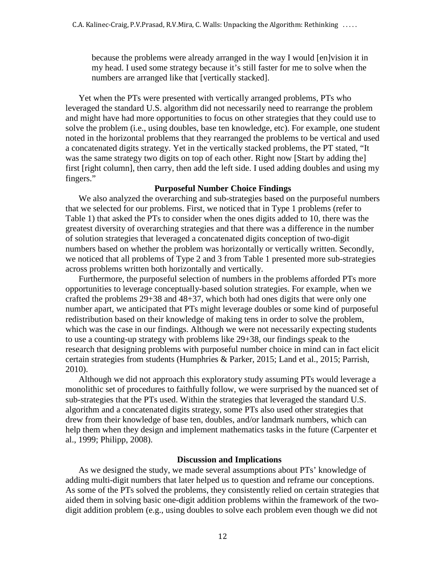because the problems were already arranged in the way I would [en]vision it in my head. I used some strategy because it's still faster for me to solve when the numbers are arranged like that [vertically stacked].

Yet when the PTs were presented with vertically arranged problems, PTs who leveraged the standard U.S. algorithm did not necessarily need to rearrange the problem and might have had more opportunities to focus on other strategies that they could use to solve the problem (i.e., using doubles, base ten knowledge, etc). For example, one student noted in the horizontal problems that they rearranged the problems to be vertical and used a concatenated digits strategy. Yet in the vertically stacked problems, the PT stated, "It was the same strategy two digits on top of each other. Right now [Start by adding the] first [right column], then carry, then add the left side. I used adding doubles and using my fingers."

## **Purposeful Number Choice Findings**

We also analyzed the overarching and sub-strategies based on the purposeful numbers that we selected for our problems. First, we noticed that in Type 1 problems (refer to Table 1) that asked the PTs to consider when the ones digits added to 10, there was the greatest diversity of overarching strategies and that there was a difference in the number of solution strategies that leveraged a concatenated digits conception of two-digit numbers based on whether the problem was horizontally or vertically written. Secondly, we noticed that all problems of Type 2 and 3 from Table 1 presented more sub-strategies across problems written both horizontally and vertically.

Furthermore, the purposeful selection of numbers in the problems afforded PTs more opportunities to leverage conceptually-based solution strategies. For example, when we crafted the problems 29+38 and 48+37, which both had ones digits that were only one number apart, we anticipated that PTs might leverage doubles or some kind of purposeful redistribution based on their knowledge of making tens in order to solve the problem, which was the case in our findings. Although we were not necessarily expecting students to use a counting-up strategy with problems like 29+38, our findings speak to the research that designing problems with purposeful number choice in mind can in fact elicit certain strategies from students (Humphries & Parker, 2015; Land et al., 2015; Parrish, 2010).

Although we did not approach this exploratory study assuming PTs would leverage a monolithic set of procedures to faithfully follow, we were surprised by the nuanced set of sub-strategies that the PTs used. Within the strategies that leveraged the standard U.S. algorithm and a concatenated digits strategy, some PTs also used other strategies that drew from their knowledge of base ten, doubles, and/or landmark numbers, which can help them when they design and implement mathematics tasks in the future (Carpenter et al., 1999; Philipp, 2008).

#### **Discussion and Implications**

As we designed the study, we made several assumptions about PTs' knowledge of adding multi-digit numbers that later helped us to question and reframe our conceptions. As some of the PTs solved the problems, they consistently relied on certain strategies that aided them in solving basic one-digit addition problems within the framework of the twodigit addition problem (e.g., using doubles to solve each problem even though we did not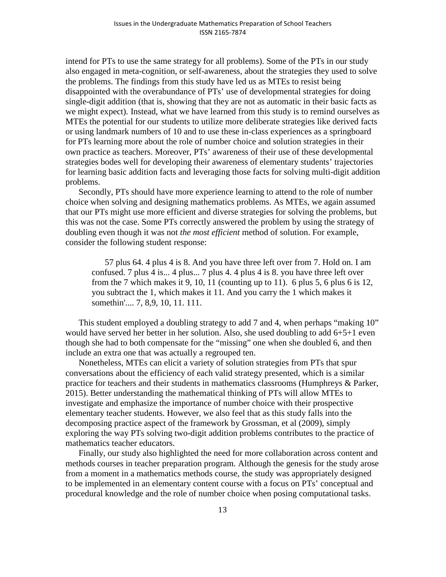intend for PTs to use the same strategy for all problems). Some of the PTs in our study also engaged in meta-cognition, or self-awareness, about the strategies they used to solve the problems. The findings from this study have led us as MTEs to resist being disappointed with the overabundance of PTs' use of developmental strategies for doing single-digit addition (that is, showing that they are not as automatic in their basic facts as we might expect). Instead, what we have learned from this study is to remind ourselves as MTEs the potential for our students to utilize more deliberate strategies like derived facts or using landmark numbers of 10 and to use these in-class experiences as a springboard for PTs learning more about the role of number choice and solution strategies in their own practice as teachers. Moreover, PTs' awareness of their use of these developmental strategies bodes well for developing their awareness of elementary students' trajectories for learning basic addition facts and leveraging those facts for solving multi-digit addition problems.

Secondly, PTs should have more experience learning to attend to the role of number choice when solving and designing mathematics problems. As MTEs, we again assumed that our PTs might use more efficient and diverse strategies for solving the problems, but this was not the case. Some PTs correctly answered the problem by using the strategy of doubling even though it was not *the most efficient* method of solution. For example, consider the following student response:

57 plus 64. 4 plus 4 is 8. And you have three left over from 7. Hold on. I am confused. 7 plus 4 is... 4 plus... 7 plus 4. 4 plus 4 is 8. you have three left over from the 7 which makes it 9, 10, 11 (counting up to 11). 6 plus 5, 6 plus 6 is 12, you subtract the 1, which makes it 11. And you carry the 1 which makes it somethin'.... 7, 8,9, 10, 11. 111.

This student employed a doubling strategy to add 7 and 4, when perhaps "making 10" would have served her better in her solution. Also, she used doubling to add 6+5+1 even though she had to both compensate for the "missing" one when she doubled 6, and then include an extra one that was actually a regrouped ten.

Nonetheless, MTEs can elicit a variety of solution strategies from PTs that spur conversations about the efficiency of each valid strategy presented, which is a similar practice for teachers and their students in mathematics classrooms (Humphreys & Parker, 2015). Better understanding the mathematical thinking of PTs will allow MTEs to investigate and emphasize the importance of number choice with their prospective elementary teacher students. However, we also feel that as this study falls into the decomposing practice aspect of the framework by Grossman, et al (2009), simply exploring the way PTs solving two-digit addition problems contributes to the practice of mathematics teacher educators.

Finally, our study also highlighted the need for more collaboration across content and methods courses in teacher preparation program. Although the genesis for the study arose from a moment in a mathematics methods course, the study was appropriately designed to be implemented in an elementary content course with a focus on PTs' conceptual and procedural knowledge and the role of number choice when posing computational tasks.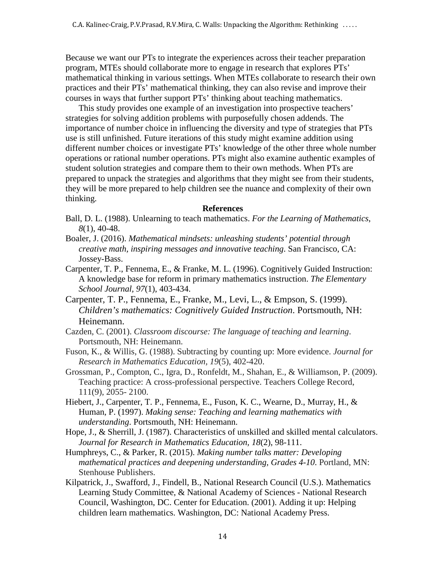Because we want our PTs to integrate the experiences across their teacher preparation program, MTEs should collaborate more to engage in research that explores PTs' mathematical thinking in various settings. When MTEs collaborate to research their own practices and their PTs' mathematical thinking, they can also revise and improve their courses in ways that further support PTs' thinking about teaching mathematics.

This study provides one example of an investigation into prospective teachers' strategies for solving addition problems with purposefully chosen addends. The importance of number choice in influencing the diversity and type of strategies that PTs use is still unfinished. Future iterations of this study might examine addition using different number choices or investigate PTs' knowledge of the other three whole number operations or rational number operations. PTs might also examine authentic examples of student solution strategies and compare them to their own methods. When PTs are prepared to unpack the strategies and algorithms that they might see from their students, they will be more prepared to help children see the nuance and complexity of their own thinking.

## **References**

- Ball, D. L. (1988). Unlearning to teach mathematics. *For the Learning of Mathematics*, *8*(1), 40-48.
- Boaler, J. (2016). *Mathematical mindsets: unleashing students' potential through creative math, inspiring messages and innovative teaching*. San Francisco, CA: Jossey-Bass.
- Carpenter, T. P., Fennema, E., & Franke, M. L. (1996). Cognitively Guided Instruction: A knowledge base for reform in primary mathematics instruction. *The Elementary School Journal, 97*(1), 403-434.
- Carpenter, T. P., Fennema, E., Franke, M., Levi, L., & Empson, S. (1999). *Children's mathematics: Cognitively Guided Instruction*. Portsmouth, NH: Heinemann.
- Cazden, C. (2001). *Classroom discourse: The language of teaching and learning*. Portsmouth, NH: Heinemann.
- Fuson, K., & Willis, G. (1988). Subtracting by counting up: More evidence. *Journal for Research in Mathematics Education, 19*(5), 402-420.
- Grossman, P., Compton, C., Igra, D., Ronfeldt, M., Shahan, E., & Williamson, P. (2009). Teaching practice: A cross-professional perspective. Teachers College Record, 111(9), 2055- 2100.
- Hiebert, J., Carpenter, T. P., Fennema, E., Fuson, K. C., Wearne, D., Murray, H., & Human, P. (1997). *Making sense: Teaching and learning mathematics with understanding*. Portsmouth, NH: Heinemann.
- Hope, J., & Sherrill, J. (1987). Characteristics of unskilled and skilled mental calculators. *Journal for Research in Mathematics Education, 18*(2), 98-111.
- Humphreys, C., & Parker, R. (2015). *Making number talks matter: Developing mathematical practices and deepening understanding, Grades 4-10*. Portland, MN: Stenhouse Publishers.
- Kilpatrick, J., Swafford, J., Findell, B., National Research Council (U.S.). Mathematics Learning Study Committee, & National Academy of Sciences - National Research Council, Washington, DC. Center for Education. (2001). Adding it up: Helping children learn mathematics. Washington, DC: National Academy Press.